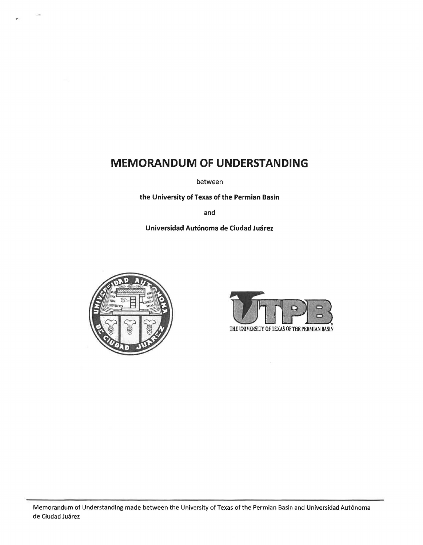# **MEMORANDUM OF UNDERSTANDING**

between

**the University of Texas of the Permian Basin** 

and

## **Universidad Aut6noma de Ciudad Juarez**





Memorandum of Understanding made between the University of Texas of the Permian Basin and Universidad Aut6noma de Ciudad Juárez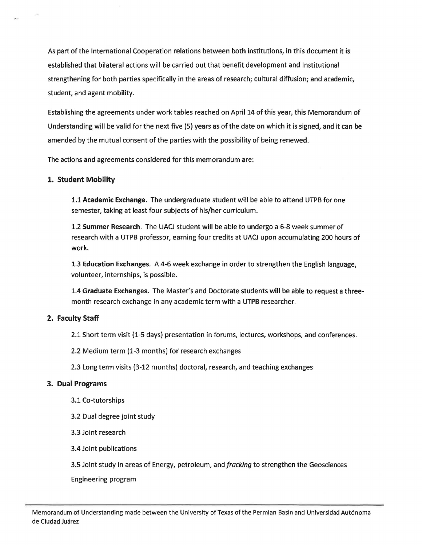As part of the International Cooperation relations between both institutions, in this document it is established that bilateral actions will be carried out that benefit development and Institutional strengthening for both parties specifically in the areas of research; cultural diffusion; and academic, student, and agent mobility.

Establishing the agreements under work tables reached on April 14 of this year, this Memorandum of Understanding will be valid for the next five (5) years as of the date on which it is signed, and it can be amended by the mutual consent of the parties with the possibility of being renewed.

The actions and agreements considered for this memorandum are:

# **1. Student Mobility**

1.1 **Academic Exchange.** The undergraduate student will be able to attend UTPB for one semester, taking at least four subjects of his/her curriculum.

1.2 **Summer Research.** The UACJ student will be able to undergo a 6-8 week summer of research with a UTPB professor, earning four credits at UACJ upon accumulating 200 hours of work.

1.3 **Education Exchanges.** A 4-6 week exchange in order to strengthen the English language, volunteer, internships, is possible.

1.4 **Graduate Exchanges.** The Master's and Doctorate students will be able to request a threemonth research exchange in any academic term with a UTPB researcher.

# **2. Faculty Staff**

2.1 Short term visit (1-5 days) presentation in forums, lectures, workshops, and conferences.

2.2 Medium term (1-3 months) for research exchanges

2.3 Long term visits (3-12 months) doctoral, research, and teaching exchanges

## **3. Dual Programs**

- 3.1 Co-tutorships
- 3.2 Dual degree joint study
- 3.3 Joint research
- 3.4 Joint publications

3.5 Joint study in areas of Energy, petroleum, and *fracking* to strengthen the Geosciences

Engineering program